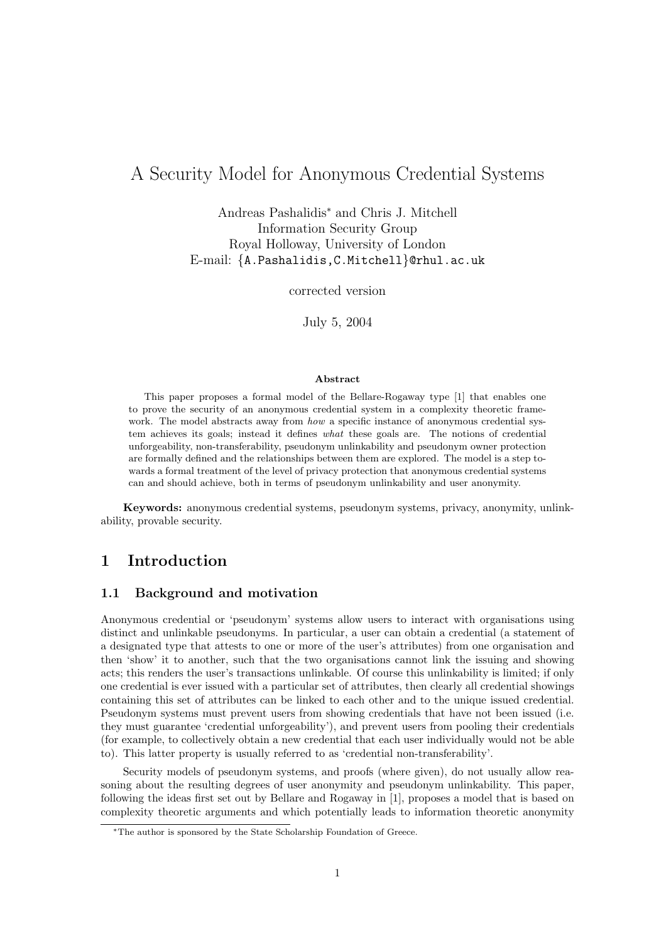# A Security Model for Anonymous Credential Systems

Andreas Pashalidis<sup>∗</sup> and Chris J. Mitchell Information Security Group Royal Holloway, University of London E-mail: {A.Pashalidis,C.Mitchell}@rhul.ac.uk

corrected version

July 5, 2004

#### Abstract

This paper proposes a formal model of the Bellare-Rogaway type [1] that enables one to prove the security of an anonymous credential system in a complexity theoretic framework. The model abstracts away from *how* a specific instance of anonymous credential system achieves its goals; instead it defines what these goals are. The notions of credential unforgeability, non-transferability, pseudonym unlinkability and pseudonym owner protection are formally defined and the relationships between them are explored. The model is a step towards a formal treatment of the level of privacy protection that anonymous credential systems can and should achieve, both in terms of pseudonym unlinkability and user anonymity.

Keywords: anonymous credential systems, pseudonym systems, privacy, anonymity, unlinkability, provable security.

# 1 Introduction

### 1.1 Background and motivation

Anonymous credential or 'pseudonym' systems allow users to interact with organisations using distinct and unlinkable pseudonyms. In particular, a user can obtain a credential (a statement of a designated type that attests to one or more of the user's attributes) from one organisation and then 'show' it to another, such that the two organisations cannot link the issuing and showing acts; this renders the user's transactions unlinkable. Of course this unlinkability is limited; if only one credential is ever issued with a particular set of attributes, then clearly all credential showings containing this set of attributes can be linked to each other and to the unique issued credential. Pseudonym systems must prevent users from showing credentials that have not been issued (i.e. they must guarantee 'credential unforgeability'), and prevent users from pooling their credentials (for example, to collectively obtain a new credential that each user individually would not be able to). This latter property is usually referred to as 'credential non-transferability'.

Security models of pseudonym systems, and proofs (where given), do not usually allow reasoning about the resulting degrees of user anonymity and pseudonym unlinkability. This paper, following the ideas first set out by Bellare and Rogaway in [1], proposes a model that is based on complexity theoretic arguments and which potentially leads to information theoretic anonymity

<sup>∗</sup>The author is sponsored by the State Scholarship Foundation of Greece.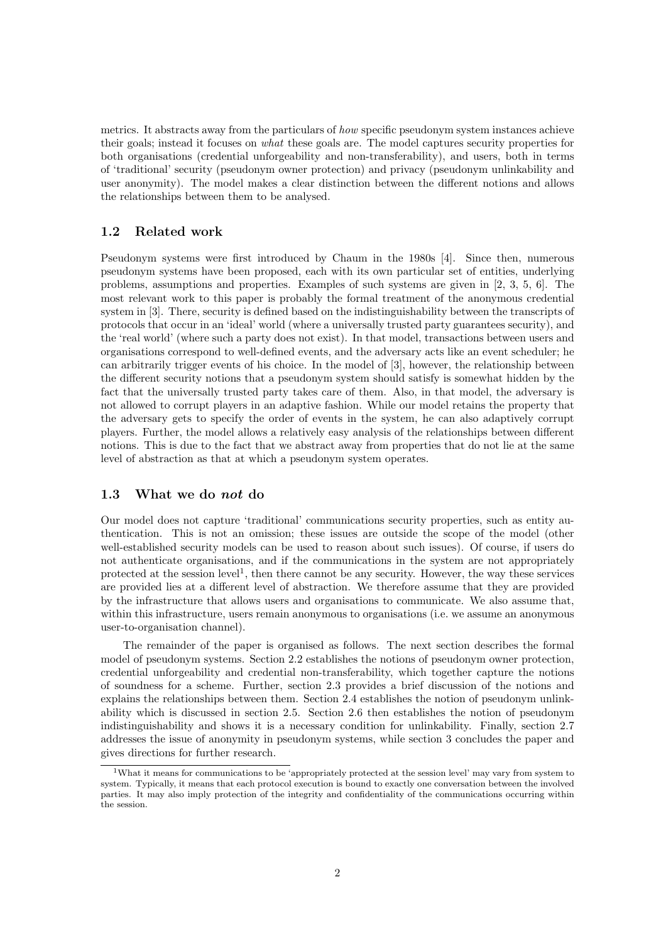metrics. It abstracts away from the particulars of how specific pseudonym system instances achieve their goals; instead it focuses on what these goals are. The model captures security properties for both organisations (credential unforgeability and non-transferability), and users, both in terms of 'traditional' security (pseudonym owner protection) and privacy (pseudonym unlinkability and user anonymity). The model makes a clear distinction between the different notions and allows the relationships between them to be analysed.

### 1.2 Related work

Pseudonym systems were first introduced by Chaum in the 1980s [4]. Since then, numerous pseudonym systems have been proposed, each with its own particular set of entities, underlying problems, assumptions and properties. Examples of such systems are given in [2, 3, 5, 6]. The most relevant work to this paper is probably the formal treatment of the anonymous credential system in [3]. There, security is defined based on the indistinguishability between the transcripts of protocols that occur in an 'ideal' world (where a universally trusted party guarantees security), and the 'real world' (where such a party does not exist). In that model, transactions between users and organisations correspond to well-defined events, and the adversary acts like an event scheduler; he can arbitrarily trigger events of his choice. In the model of [3], however, the relationship between the different security notions that a pseudonym system should satisfy is somewhat hidden by the fact that the universally trusted party takes care of them. Also, in that model, the adversary is not allowed to corrupt players in an adaptive fashion. While our model retains the property that the adversary gets to specify the order of events in the system, he can also adaptively corrupt players. Further, the model allows a relatively easy analysis of the relationships between different notions. This is due to the fact that we abstract away from properties that do not lie at the same level of abstraction as that at which a pseudonym system operates.

#### 1.3 What we do not do

Our model does not capture 'traditional' communications security properties, such as entity authentication. This is not an omission; these issues are outside the scope of the model (other well-established security models can be used to reason about such issues). Of course, if users do not authenticate organisations, and if the communications in the system are not appropriately protected at the session level<sup>1</sup>, then there cannot be any security. However, the way these services are provided lies at a different level of abstraction. We therefore assume that they are provided by the infrastructure that allows users and organisations to communicate. We also assume that, within this infrastructure, users remain anonymous to organisations (i.e. we assume an anonymous user-to-organisation channel).

The remainder of the paper is organised as follows. The next section describes the formal model of pseudonym systems. Section 2.2 establishes the notions of pseudonym owner protection, credential unforgeability and credential non-transferability, which together capture the notions of soundness for a scheme. Further, section 2.3 provides a brief discussion of the notions and explains the relationships between them. Section 2.4 establishes the notion of pseudonym unlinkability which is discussed in section 2.5. Section 2.6 then establishes the notion of pseudonym indistinguishability and shows it is a necessary condition for unlinkability. Finally, section 2.7 addresses the issue of anonymity in pseudonym systems, while section 3 concludes the paper and gives directions for further research.

<sup>1</sup>What it means for communications to be 'appropriately protected at the session level' may vary from system to system. Typically, it means that each protocol execution is bound to exactly one conversation between the involved parties. It may also imply protection of the integrity and confidentiality of the communications occurring within the session.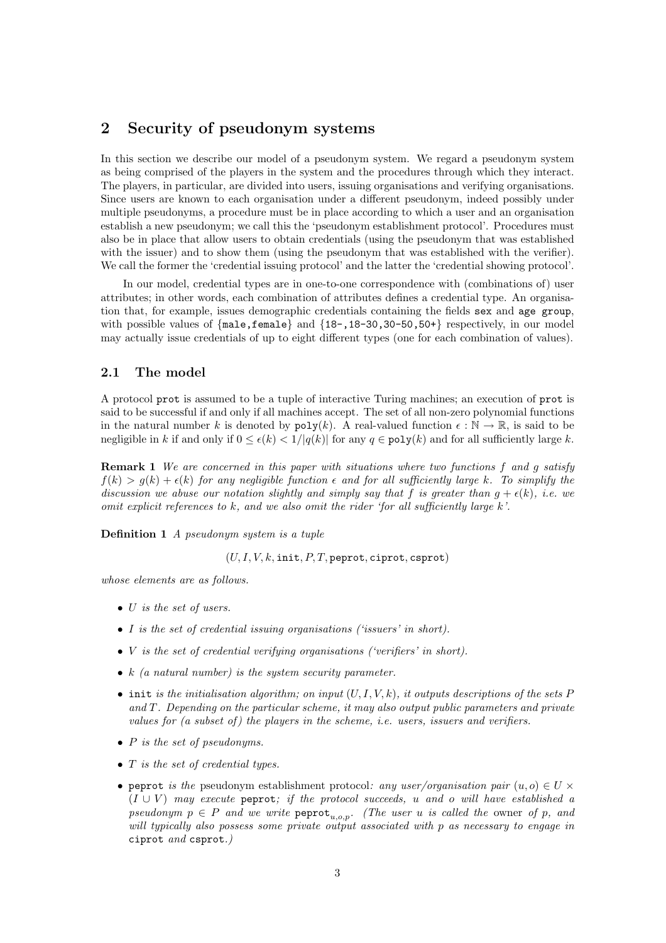# 2 Security of pseudonym systems

In this section we describe our model of a pseudonym system. We regard a pseudonym system as being comprised of the players in the system and the procedures through which they interact. The players, in particular, are divided into users, issuing organisations and verifying organisations. Since users are known to each organisation under a different pseudonym, indeed possibly under multiple pseudonyms, a procedure must be in place according to which a user and an organisation establish a new pseudonym; we call this the 'pseudonym establishment protocol'. Procedures must also be in place that allow users to obtain credentials (using the pseudonym that was established with the issuer) and to show them (using the pseudonym that was established with the verifier). We call the former the 'credential issuing protocol' and the latter the 'credential showing protocol'.

In our model, credential types are in one-to-one correspondence with (combinations of) user attributes; in other words, each combination of attributes defines a credential type. An organisation that, for example, issues demographic credentials containing the fields sex and age group, with possible values of  ${male, female}$  and  ${18-, 18-30, 30-50, 50+}$  respectively, in our model may actually issue credentials of up to eight different types (one for each combination of values).

### 2.1 The model

A protocol prot is assumed to be a tuple of interactive Turing machines; an execution of prot is said to be successful if and only if all machines accept. The set of all non-zero polynomial functions in the natural number k is denoted by  $\text{poly}(k)$ . A real-valued function  $\epsilon : \mathbb{N} \to \mathbb{R}$ , is said to be negligible in k if and only if  $0 \leq \epsilon(k) < 1/|q(k)|$  for any  $q \in \text{poly}(k)$  and for all sufficiently large k.

**Remark 1** We are concerned in this paper with situations where two functions f and g satisfy  $f(k) > g(k) + \epsilon(k)$  for any negligible function  $\epsilon$  and for all sufficiently large k. To simplify the discussion we abuse our notation slightly and simply say that f is greater than  $g + \epsilon(k)$ , i.e. we omit explicit references to  $k$ , and we also omit the rider 'for all sufficiently large  $k$ '.

Definition 1 A pseudonym system is a tuple

 $(U, I, V, k, \text{init}, P, T, \text{peprot}, \text{ciprot}, \text{csprot})$ 

whose elements are as follows.

- U is the set of users.
- I is the set of credential issuing organisations ('issuers' in short).
- *V* is the set of credential verifying organisations ('verifiers' in short).
- $k$  (a natural number) is the system security parameter.
- init is the initialisation algorithm; on input  $(U, I, V, k)$ , it outputs descriptions of the sets P and T. Depending on the particular scheme, it may also output public parameters and private values for  $(a \text{ subset of})$  the players in the scheme, i.e. users, issuers and verifiers.
- P is the set of pseudonyms.
- T is the set of credential types.
- peprot is the pseudonym establishment protocol: any user/organisation pair  $(u, o) \in U \times$  $(I \cup V)$  may execute peprot; if the protocol succeeds, u and o will have established a pseudonym  $p \in P$  and we write  $\text{peprot}_{u,o,p}$ . (The user u is called the owner of p, and will typically also possess some private output associated with p as necessary to engage in ciprot and csprot.)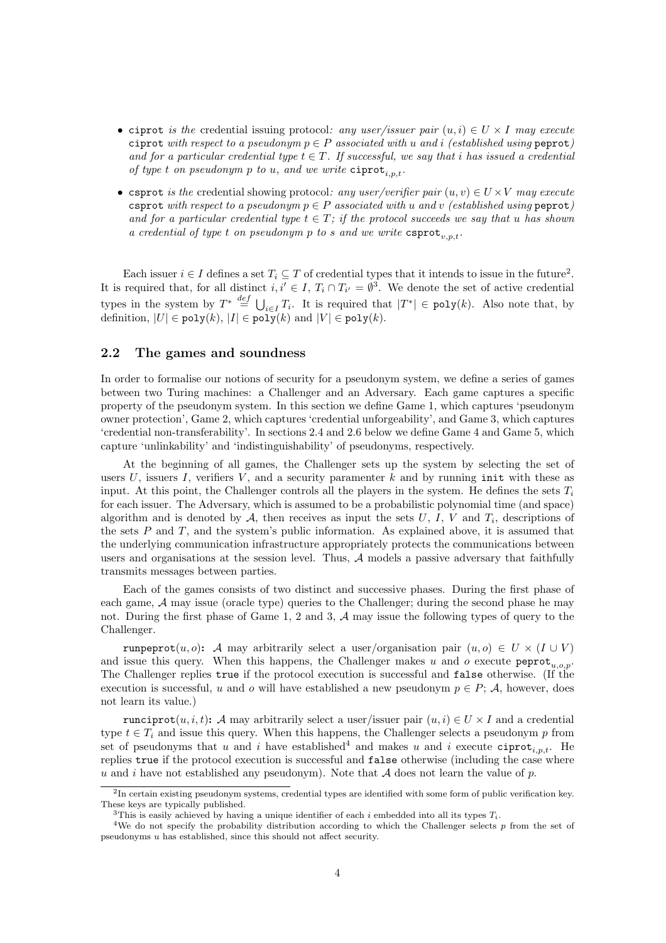- ciprot is the credential issuing protocol: any user/issuer pair  $(u, i) \in U \times I$  may execute ciprot with respect to a pseudonym  $p \in P$  associated with u and i (established using peprot) and for a particular credential type  $t \in T$ . If successful, we say that i has issued a credential of type t on pseudonym p to u, and we write  $\text{ciprot}_{i,n,t}$ .
- csprot is the credential showing protocol: any user/verifier pair  $(u, v) \in U \times V$  may execute csprot with respect to a pseudonym  $p \in P$  associated with u and v (established using peprot) and for a particular credential type  $t \in T$ ; if the protocol succeeds we say that u has shown a credential of type t on pseudonym p to s and we write  $\texttt{csprot}_{v,n,t}$ .

Each issuer  $i \in I$  defines a set  $T_i \subseteq T$  of credential types that it intends to issue in the future<sup>2</sup>. It is required that, for all distinct  $i, i' \in I$ ,  $T_i \cap T_{i'} = \emptyset^3$ . We denote the set of active credential types in the system by  $T^* \stackrel{def}{=} \bigcup$  $i \in I$  T<sub>i</sub>. It is required that  $|T^*| \in \text{poly}(k)$ . Also note that, by definition,  $|U| \in \text{poly}(k)$ ,  $|I| \in \text{poly}(k)$  and  $|V| \in \text{poly}(k)$ .

#### 2.2 The games and soundness

In order to formalise our notions of security for a pseudonym system, we define a series of games between two Turing machines: a Challenger and an Adversary. Each game captures a specific property of the pseudonym system. In this section we define Game 1, which captures 'pseudonym owner protection', Game 2, which captures 'credential unforgeability', and Game 3, which captures 'credential non-transferability'. In sections 2.4 and 2.6 below we define Game 4 and Game 5, which capture 'unlinkability' and 'indistinguishability' of pseudonyms, respectively.

At the beginning of all games, the Challenger sets up the system by selecting the set of users  $U$ , issuers  $I$ , verifiers  $V$ , and a security paramenter  $k$  and by running init with these as input. At this point, the Challenger controls all the players in the system. He defines the sets  $T_i$ for each issuer. The Adversary, which is assumed to be a probabilistic polynomial time (and space) algorithm and is denoted by  $A$ , then receives as input the sets U, I, V and  $T_i$ , descriptions of the sets  $P$  and  $T$ , and the system's public information. As explained above, it is assumed that the underlying communication infrastructure appropriately protects the communications between users and organisations at the session level. Thus,  $A$  models a passive adversary that faithfully transmits messages between parties.

Each of the games consists of two distinct and successive phases. During the first phase of each game, A may issue (oracle type) queries to the Challenger; during the second phase he may not. During the first phase of Game 1, 2 and 3, A may issue the following types of query to the Challenger.

runpeprot $(u, o)$ : A may arbitrarily select a user/organisation pair  $(u, o) \in U \times (I \cup V)$ and issue this query. When this happens, the Challenger makes u and o execute  $\text{peprot}_{u,o,p}$ . The Challenger replies true if the protocol execution is successful and false otherwise. (If the execution is successful, u and o will have established a new pseudonym  $p \in P$ ; A, however, does not learn its value.)

runciprot $(u, i, t)$ : A may arbitrarily select a user/issuer pair  $(u, i) \in U \times I$  and a credential type  $t \in T_i$  and issue this query. When this happens, the Challenger selects a pseudonym p from set of pseudonyms that u and i have established<sup>4</sup> and makes u and i execute ciprot<sub>i,p,t</sub>. He replies true if the protocol execution is successful and false otherwise (including the case where u and i have not established any pseudonym). Note that  $A$  does not learn the value of p.

<sup>&</sup>lt;sup>2</sup>In certain existing pseudonym systems, credential types are identified with some form of public verification key. These keys are typically published.

<sup>&</sup>lt;sup>3</sup>This is easily achieved by having a unique identifier of each i embedded into all its types  $T_i$ .

<sup>&</sup>lt;sup>4</sup>We do not specify the probability distribution according to which the Challenger selects p from the set of pseudonyms u has established, since this should not affect security.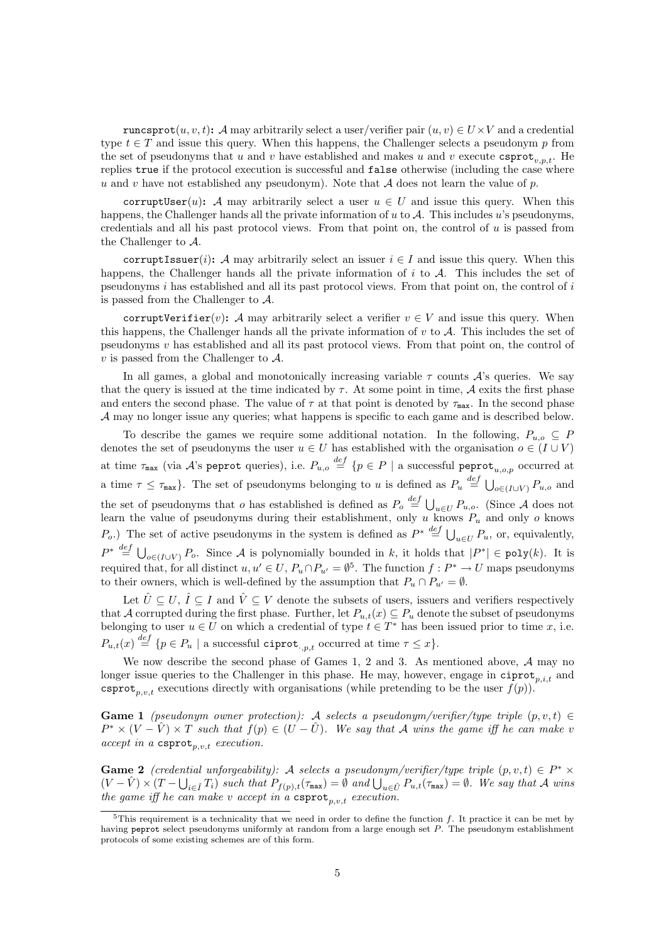runcsprot $(u, v, t)$ : A may arbitrarily select a user/verifier pair  $(u, v) \in U \times V$  and a credential type  $t \in T$  and issue this query. When this happens, the Challenger selects a pseudonym p from the set of pseudonyms that u and v have established and makes u and v execute  $\texttt{csprot}_{v, p, t}$ . He replies true if the protocol execution is successful and false otherwise (including the case where u and v have not established any pseudonym). Note that  $A$  does not learn the value of  $p$ .

corruptUser(u): A may arbitrarily select a user  $u \in U$  and issue this query. When this happens, the Challenger hands all the private information of  $u$  to  $\mathcal{A}$ . This includes  $u$ 's pseudonyms, credentials and all his past protocol views. From that point on, the control of u is passed from the Challenger to A.

corruptIssuer(i): A may arbitrarily select an issuer  $i \in I$  and issue this query. When this happens, the Challenger hands all the private information of i to A. This includes the set of pseudonyms  $i$  has established and all its past protocol views. From that point on, the control of  $i$ is passed from the Challenger to A.

corruptVerifier(v): A may arbitrarily select a verifier  $v \in V$  and issue this query. When this happens, the Challenger hands all the private information of  $v$  to  $A$ . This includes the set of pseudonyms v has established and all its past protocol views. From that point on, the control of  $v$  is passed from the Challenger to  $\mathcal{A}$ .

In all games, a global and monotonically increasing variable  $\tau$  counts  $\mathcal{A}$ 's queries. We say that the query is issued at the time indicated by  $\tau$ . At some point in time,  $\mathcal A$  exits the first phase and enters the second phase. The value of  $\tau$  at that point is denoted by  $\tau_{\text{max}}$ . In the second phase A may no longer issue any queries; what happens is specific to each game and is described below.

To describe the games we require some additional notation. In the following,  $P_{u,o} \subseteq P$ denotes the set of pseudonyms the user  $u \in U$  has established with the organisation  $o \in (I \cup V)$ at time  $\tau_{\texttt{max}}$  (via  $\mathcal{A}$ 's peprot queries), i.e.  $P_{u,o} \stackrel{def}{=} \{p \in P \mid \text{a successful } \texttt{peprot}_{u,o,p} \text{ occurred at } \}$ a time  $\tau \leq \tau_{\text{max}}$ . The set of pseudonyms belonging to u is defined as  $P_u \stackrel{def}{=} \bigcup_{o \in (I \cup V)} P_{u,o}$  and the set of pseudonyms that *o* has established is defined as  $P_o \stackrel{def}{=} \bigcup_{u \in U} P_{u,o}$ . (Since *A* does not learn the value of pseudonyms during their establishment, only u knows  $P_u$  and only o knows Po.) The set of active pseudonyms in the system is defined as  $P^* \stackrel{def}{=} \bigcup_{u \in U} P_u$ , or, equivalently,  $P^* \stackrel{def}{=} \bigcup_{o \in (I \cup V)} P_o$ . Since A is polynomially bounded in k, it holds that  $|P^*| \in \text{poly}(k)$ . It is required that, for all distinct  $u, u' \in U$ ,  $P_u \cap P_{u'} = \emptyset^5$ . The function  $f : P^* \to U$  maps pseudonyms to their owners, which is well-defined by the assumption that  $P_u \cap P_{u'} = \emptyset$ .

Let  $\hat{U} \subseteq U$ ,  $\hat{I} \subseteq I$  and  $\hat{V} \subseteq V$  denote the subsets of users, issuers and verifiers respectively that A corrupted during the first phase. Further, let  $P_{u,t}(x) \subseteq P_u$  denote the subset of pseudonyms belonging to user  $u \in U$  on which a credential of type  $t \in T^*$  has been issued prior to time x, i.e.  $P_{u,t}(x) \stackrel{def}{=} \{p \in P_u \mid \text{a successful ciprot}_{.,p,t} \text{ occurred at time } \tau \leq x\}.$ 

We now describe the second phase of Games 1, 2 and 3. As mentioned above, A may no longer issue queries to the Challenger in this phase. He may, however, engage in  $\text{ciprot}_{n,i,t}$  and csprot<sub>n,v,t</sub> executions directly with organisations (while pretending to be the user  $f(p)$ ).

Game 1 (pseudonym owner protection): A selects a pseudonym/verifier/type triple  $(p, v, t) \in$  $P^* \times (V - \hat{V}) \times T$  such that  $f(p) \in (U - \hat{U})$ . We say that A wins the game iff he can make v accept in a csprot<sub>n</sub> $v_t$  execution.

Game 2 (credential unforgeability): A selects a pseudonym/verifier/type triple  $(p, v, t) \in P^* \times$ **Game** 2 (creaential unjorgeability): A selects a pseudonym/vertiler/type triple  $(p, v, t) \in P \times (V - \hat{V}) \times (T - U_{i \in \hat{I}} T_i)$  such that  $P_{f(p), t}(\tau_{\text{max}}) = \emptyset$  and  $U_{u \in \hat{U}} P_{u,t}(\tau_{\text{max}}) = \emptyset$ . We say that A wins the game iff he can make v accept in a  $\text{csprot}_{p,v,t}$  execution.

 $5$ This requirement is a technicality that we need in order to define the function  $f$ . It practice it can be met by having peprot select pseudonyms uniformly at random from a large enough set P. The pseudonym establishment protocols of some existing schemes are of this form.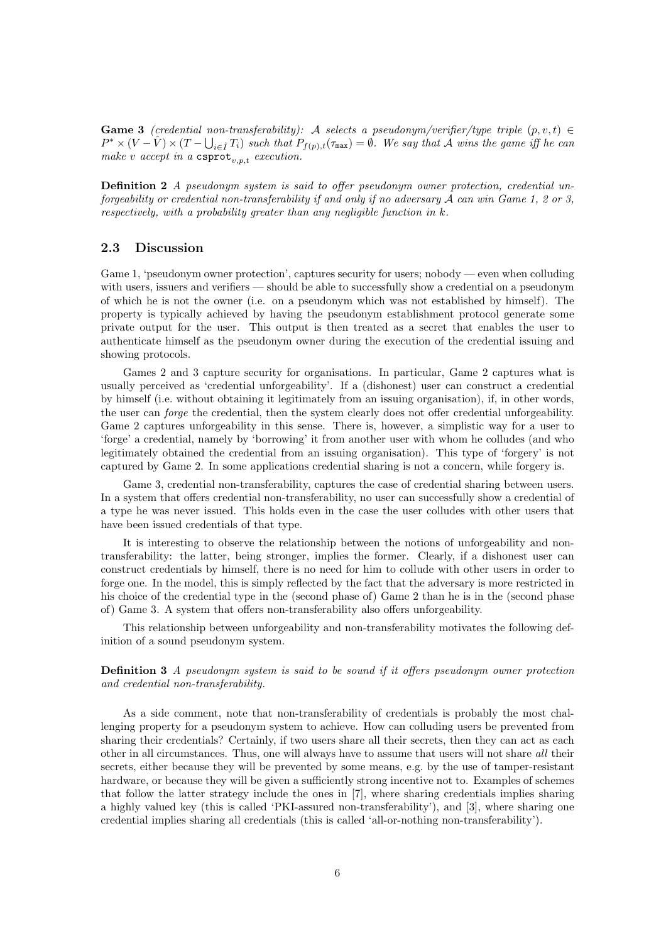Game 3 (credential non-transferability): A selects a pseudonym/verifier/type triple  $(p, v, t) \in \mathbb{R}^n$  $P^* \times (V - \hat{V}) \times (T - \bigcup_{i \in \hat{I}} T_i)$  such that  $P_{f(p),t}(\tau_{\text{max}}) = \emptyset$ . We say that A wins the game iff he can make v accept in a  $\text{csprot}_{v,p,t}$  execution.

Definition 2 A pseudonym system is said to offer pseudonym owner protection, credential unforgeability or credential non-transferability if and only if no adversary  $A$  can win Game 1, 2 or 3, respectively, with a probability greater than any negligible function in  $k$ .

#### 2.3 Discussion

Game 1, 'pseudonym owner protection', captures security for users; nobody — even when colluding with users, issuers and verifiers — should be able to successfully show a credential on a pseudonym of which he is not the owner (i.e. on a pseudonym which was not established by himself). The property is typically achieved by having the pseudonym establishment protocol generate some private output for the user. This output is then treated as a secret that enables the user to authenticate himself as the pseudonym owner during the execution of the credential issuing and showing protocols.

Games 2 and 3 capture security for organisations. In particular, Game 2 captures what is usually perceived as 'credential unforgeability'. If a (dishonest) user can construct a credential by himself (i.e. without obtaining it legitimately from an issuing organisation), if, in other words, the user can forge the credential, then the system clearly does not offer credential unforgeability. Game 2 captures unforgeability in this sense. There is, however, a simplistic way for a user to 'forge' a credential, namely by 'borrowing' it from another user with whom he colludes (and who legitimately obtained the credential from an issuing organisation). This type of 'forgery' is not captured by Game 2. In some applications credential sharing is not a concern, while forgery is.

Game 3, credential non-transferability, captures the case of credential sharing between users. In a system that offers credential non-transferability, no user can successfully show a credential of a type he was never issued. This holds even in the case the user colludes with other users that have been issued credentials of that type.

It is interesting to observe the relationship between the notions of unforgeability and nontransferability: the latter, being stronger, implies the former. Clearly, if a dishonest user can construct credentials by himself, there is no need for him to collude with other users in order to forge one. In the model, this is simply reflected by the fact that the adversary is more restricted in his choice of the credential type in the (second phase of) Game 2 than he is in the (second phase of) Game 3. A system that offers non-transferability also offers unforgeability.

This relationship between unforgeability and non-transferability motivates the following definition of a sound pseudonym system.

Definition 3 A pseudonym system is said to be sound if it offers pseudonym owner protection and credential non-transferability.

As a side comment, note that non-transferability of credentials is probably the most challenging property for a pseudonym system to achieve. How can colluding users be prevented from sharing their credentials? Certainly, if two users share all their secrets, then they can act as each other in all circumstances. Thus, one will always have to assume that users will not share all their secrets, either because they will be prevented by some means, e.g. by the use of tamper-resistant hardware, or because they will be given a sufficiently strong incentive not to. Examples of schemes that follow the latter strategy include the ones in [7], where sharing credentials implies sharing a highly valued key (this is called 'PKI-assured non-transferability'), and [3], where sharing one credential implies sharing all credentials (this is called 'all-or-nothing non-transferability').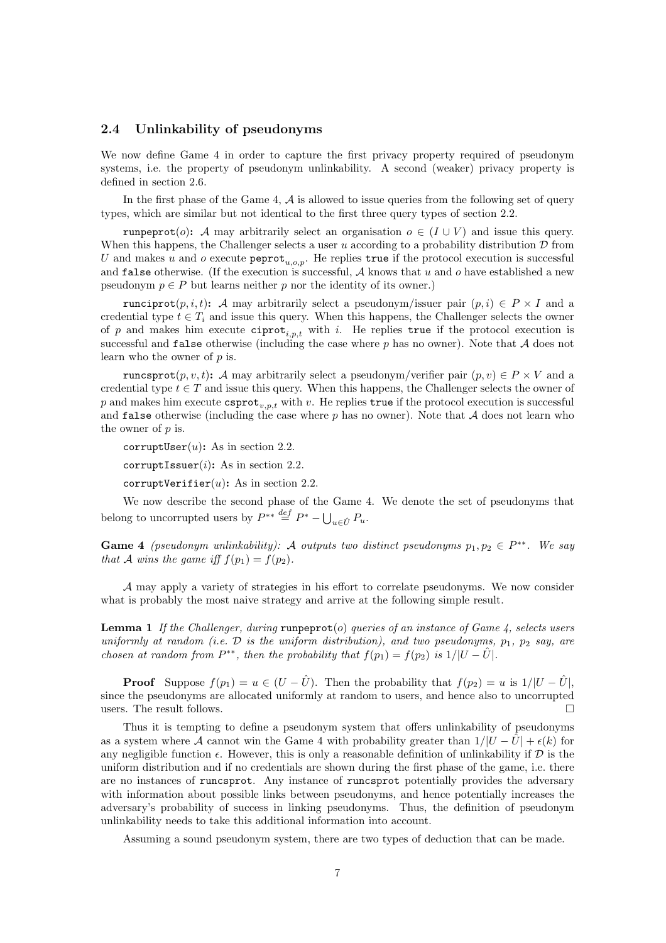#### 2.4 Unlinkability of pseudonyms

We now define Game 4 in order to capture the first privacy property required of pseudonym systems, i.e. the property of pseudonym unlinkability. A second (weaker) privacy property is defined in section 2.6.

In the first phase of the Game 4,  $\mathcal A$  is allowed to issue queries from the following set of query types, which are similar but not identical to the first three query types of section 2.2.

runpeprot(o): A may arbitrarily select an organisation  $o \in (I \cup V)$  and issue this query. When this happens, the Challenger selects a user u according to a probability distribution  $D$  from U and makes u and o execute  $\text{peprot}_{u,o,p}$ . He replies true if the protocol execution is successful and false otherwise. (If the execution is successful,  $A$  knows that u and o have established a new pseudonym  $p \in P$  but learns neither p nor the identity of its owner.)

runciprot $(p, i, t)$ : A may arbitrarily select a pseudonym/issuer pair  $(p, i) \in P \times I$  and a credential type  $t \in T_i$  and issue this query. When this happens, the Challenger selects the owner of p and makes him execute  $\text{ciprot}_{i,p,t}$  with i. He replies true if the protocol execution is successful and false otherwise (including the case where  $p$  has no owner). Note that  $A$  does not learn who the owner of p is.

runcsprot $(p, v, t)$ : A may arbitrarily select a pseudonym/verifier pair  $(p, v) \in P \times V$  and a credential type  $t \in T$  and issue this query. When this happens, the Challenger selects the owner of p and makes him execute  $\texttt{csprot}_{v,p,t}$  with v. He replies  $\texttt{true}$  if the protocol execution is successful and false otherwise (including the case where  $p$  has no owner). Note that  $A$  does not learn who the owner of  $p$  is.

corruptUser $(u)$ : As in section 2.2.

corruptIssuer $(i)$ : As in section 2.2.

corruptVerifier $(u)$ : As in section 2.2.

We now describe the second phase of the Game 4. We denote the set of pseudonyms that belong to uncorrupted users by  $P^{**} \stackrel{def}{=} P^* - \bigcup_{u \in \hat{U}} P_u$ .

Game 4 (pseudonym unlinkability): A outputs two distinct pseudonyms  $p_1, p_2 \in P^{**}$ . We say that A wins the game iff  $f(p_1) = f(p_2)$ .

A may apply a variety of strategies in his effort to correlate pseudonyms. We now consider what is probably the most naive strategy and arrive at the following simple result.

**Lemma 1** If the Challenger, during runpeprot(o) queries of an instance of Game 4, selects users uniformly at random (i.e.  $D$  is the uniform distribution), and two pseudonyms,  $p_1$ ,  $p_2$  say, are chosen at random from  $P^{**}$ , then the probability that  $f(p_1) = f(p_2)$  is  $1/|U - \hat{U}|$ .

**Proof** Suppose  $f(p_1) = u \in (U - \hat{U})$ . Then the probability that  $f(p_2) = u$  is  $1/|U - \hat{U}|$ , since the pseudonyms are allocated uniformly at random to users, and hence also to uncorrupted users. The result follows.  $\Box$ 

Thus it is tempting to define a pseudonym system that offers unlinkability of pseudonyms as a system where A cannot win the Game 4 with probability greater than  $1/|U - \hat{U}| + \epsilon(k)$  for any negligible function  $\epsilon$ . However, this is only a reasonable definition of unlinkability if  $\mathcal D$  is the uniform distribution and if no credentials are shown during the first phase of the game, i.e. there are no instances of runcsprot. Any instance of runcsprot potentially provides the adversary with information about possible links between pseudonyms, and hence potentially increases the adversary's probability of success in linking pseudonyms. Thus, the definition of pseudonym unlinkability needs to take this additional information into account.

Assuming a sound pseudonym system, there are two types of deduction that can be made.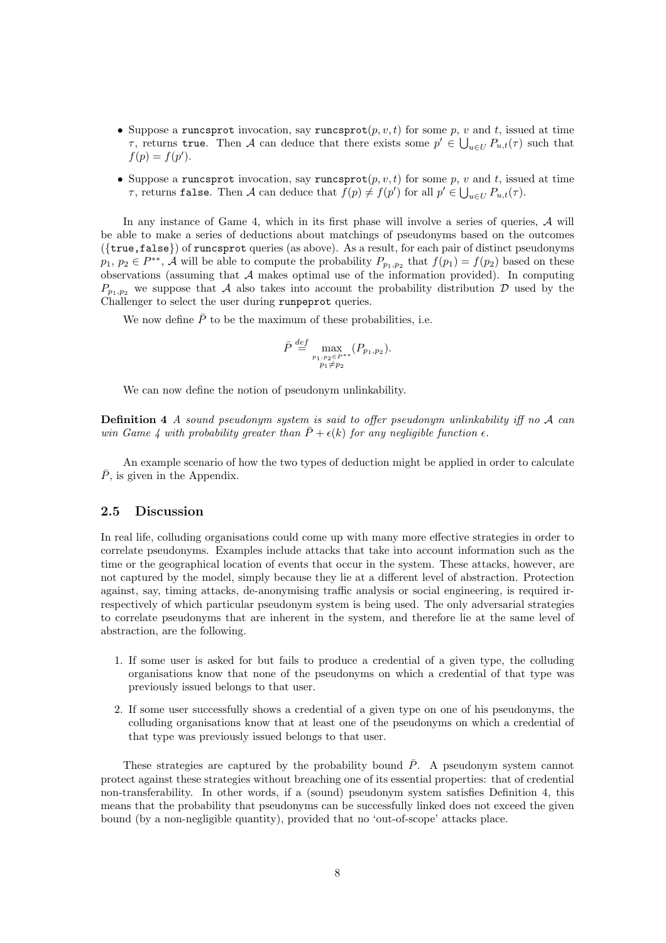- Suppose a runcsprot invocation, say runcsprot $(p, v, t)$  for some p, v and t, issued at time τ, returns true. Then *A* can deduce that there exists some  $p' ∈ ∪_{u∈U} P_{u,t}(τ)$  such that  $f(p) = f(p').$
- Suppose a runcsprot invocation, say runcsprot $(p, v, t)$  for some p, v and t, issued at time  $\tau$ , returns false. Then A can deduce that  $f(p) \neq f(p')$  for all  $p' \in \bigcup_{u \in U} P_{u,t}(\tau)$ .

In any instance of Game 4, which in its first phase will involve a series of queries, A will be able to make a series of deductions about matchings of pseudonyms based on the outcomes ({true,false}) of runcsprot queries (as above). As a result, for each pair of distinct pseudonyms  $p_1, p_2 \in P^{**}, A$  will be able to compute the probability  $P_{p_1,p_2}$  that  $f(p_1) = f(p_2)$  based on these observations (assuming that  $A$  makes optimal use of the information provided). In computing  $P_{p_1,p_2}$  we suppose that A also takes into account the probability distribution D used by the Challenger to select the user during runpeprot queries.

We now define  $\bar{P}$  to be the maximum of these probabilities, i.e.

$$
\bar{P} \stackrel{\text{def}}{=} \max_{\substack{p_1, p_2 \in P^{**} \\ p_1 \neq p_2}} (P_{p_1, p_2}).
$$

We can now define the notion of pseudonym unlinkability.

**Definition 4** A sound pseudonym system is said to offer pseudonym unlinkability iff no  $\mathcal A$  can win Game 4 with probability greater than  $\bar{P} + \epsilon(k)$  for any negligible function  $\epsilon$ .

An example scenario of how the two types of deduction might be applied in order to calculate  $\bar{P}$ , is given in the Appendix.

### 2.5 Discussion

In real life, colluding organisations could come up with many more effective strategies in order to correlate pseudonyms. Examples include attacks that take into account information such as the time or the geographical location of events that occur in the system. These attacks, however, are not captured by the model, simply because they lie at a different level of abstraction. Protection against, say, timing attacks, de-anonymising traffic analysis or social engineering, is required irrespectively of which particular pseudonym system is being used. The only adversarial strategies to correlate pseudonyms that are inherent in the system, and therefore lie at the same level of abstraction, are the following.

- 1. If some user is asked for but fails to produce a credential of a given type, the colluding organisations know that none of the pseudonyms on which a credential of that type was previously issued belongs to that user.
- 2. If some user successfully shows a credential of a given type on one of his pseudonyms, the colluding organisations know that at least one of the pseudonyms on which a credential of that type was previously issued belongs to that user.

These strategies are captured by the probability bound  $\bar{P}$ . A pseudonym system cannot protect against these strategies without breaching one of its essential properties: that of credential non-transferability. In other words, if a (sound) pseudonym system satisfies Definition 4, this means that the probability that pseudonyms can be successfully linked does not exceed the given bound (by a non-negligible quantity), provided that no 'out-of-scope' attacks place.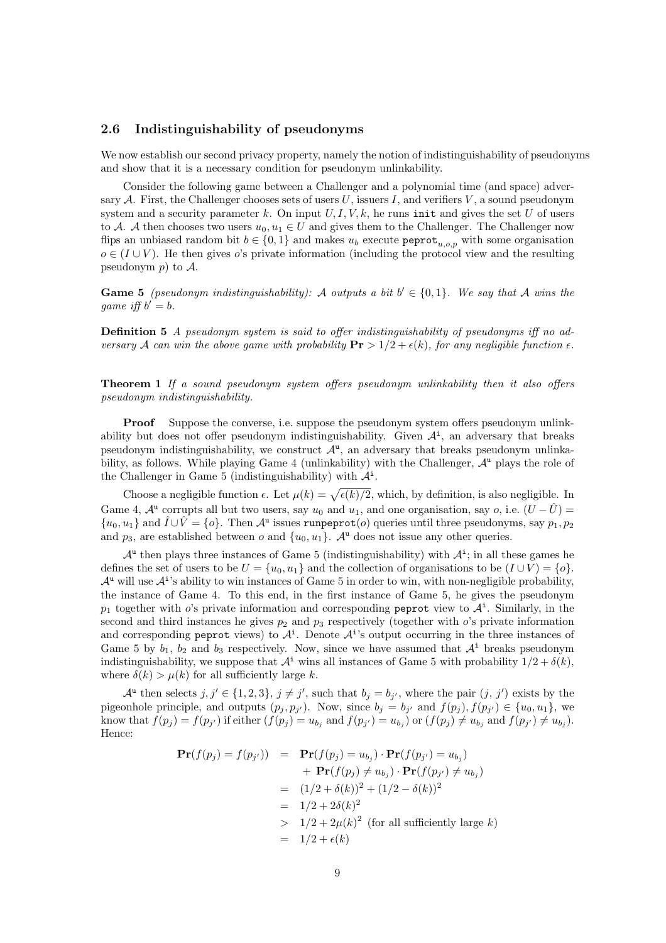### 2.6 Indistinguishability of pseudonyms

We now establish our second privacy property, namely the notion of indistinguishability of pseudonyms and show that it is a necessary condition for pseudonym unlinkability.

Consider the following game between a Challenger and a polynomial time (and space) adversary  $A$ . First, the Challenger chooses sets of users  $U$ , issuers  $I$ , and verifiers  $V$ , a sound pseudonym system and a security parameter k. On input  $U, I, V, k$ , he runs init and gives the set U of users to A. A then chooses two users  $u_0, u_1 \in U$  and gives them to the Challenger. The Challenger now flips an unbiased random bit  $b \in \{0, 1\}$  and makes  $u_b$  execute peprot<sub>u,o,p</sub> with some organisation  $o \in (I \cup V)$ . He then gives o's private information (including the protocol view and the resulting pseudonym  $p$ ) to  $A$ .

**Game 5** (pseudonym indistinguishability): A outputs a bit  $b' \in \{0, 1\}$ . We say that A wins the game iff  $b' = b$ .

Definition 5 A pseudonym system is said to offer indistinguishability of pseudonyms iff no adversary A can win the above game with probability  $Pr > 1/2 + \epsilon(k)$ , for any negligible function  $\epsilon$ .

**Theorem 1** If a sound pseudonym system offers pseudonym unlinkability then it also offers pseudonym indistinguishability.

Proof Suppose the converse, i.e. suppose the pseudonym system offers pseudonym unlinkability but does not offer pseudonym indistinguishability. Given  $A^i$ , an adversary that breaks pseudonym indistinguishability, we construct  $\mathcal{A}^{\mathfrak{u}}$ , an adversary that breaks pseudonym unlinkability, as follows. While playing Game 4 (unlinkability) with the Challenger,  $\mathcal{A}^u$  plays the role of the Challenger in Game 5 (indistinguishability) with  $\mathcal{A}^i$ .

Choose a negligible function  $\epsilon$ . Let  $\mu(k) = \sqrt{\epsilon(k)/2}$ , which, by definition, is also negligible. In Game 4,  $\mathcal{A}^{\mathbf{u}}$  corrupts all but two users, say  $u_0$  and  $u_1$ , and one organisation, say  $o$ , i.e.  $(U - \hat{U}) =$  $\{u_0, u_1\}$  and  $\hat{I} \cup \hat{V} = \{o\}$ . Then  $\mathcal{A}^u$  issues runpeprot(*o*) queries until three pseudonyms, say  $p_1, p_2$ and  $p_3$ , are established between o and  $\{u_0, u_1\}$ .  $\mathcal{A}^{\mathbf{u}}$  does not issue any other queries.

 $\mathcal{A}^{\mathfrak{u}}$  then plays three instances of Game 5 (indistinguishability) with  $\mathcal{A}^{\mathfrak{i}}$ ; in all these games he defines the set of users to be  $U = \{u_0, u_1\}$  and the collection of organisations to be  $(I \cup V) = \{o\}$ .  $\mathcal{A}^{\mathbf{u}}$  will use  $\mathcal{A}^{\mathbf{i}}$ 's ability to win instances of Game 5 in order to win, with non-negligible probability, the instance of Game 4. To this end, in the first instance of Game 5, he gives the pseudonym  $p_1$  together with o's private information and corresponding peprot view to  $\mathcal{A}^i$ . Similarly, in the second and third instances he gives  $p_2$  and  $p_3$  respectively (together with  $o$ 's private information and corresponding peprot views) to  $\mathcal{A}^i$ . Denote  $\mathcal{A}^i$ 's output occurring in the three instances of Game 5 by  $b_1$ ,  $b_2$  and  $b_3$  respectively. Now, since we have assumed that  $A<sup>1</sup>$  breaks pseudonym indistinguishability, we suppose that  $\mathcal{A}^i$  wins all instances of Game 5 with probability  $1/2 + \delta(k)$ , where  $\delta(k) > \mu(k)$  for all sufficiently large k.

 $\mathcal{A}^{\mathbf{u}}$  then selects  $j, j' \in \{1, 2, 3\}, j \neq j'$ , such that  $b_j = b_{j'}$ , where the pair  $(j, j')$  exists by the pigeonhole principle, and outputs  $(p_j, p_{j'})$ . Now, since  $b_j = b_{j'}$  and  $f(p_j), f(p_{j'}) \in \{u_0, u_1\}$ , we know that  $f(p_j) = f(p_{j'})$  if either  $(f(p_j) = u_{b_j}$  and  $f(p_{j'}) = u_{b_j}$ ) or  $(f(p_j) \neq u_{b_j}$  and  $f(p_{j'}) \neq u_{b_j}$ ). Hence:

$$
\begin{aligned}\n\mathbf{Pr}(f(p_j) &= f(p_{j'})) &= \mathbf{Pr}(f(p_j) = u_{b_j}) \cdot \mathbf{Pr}(f(p_{j'}) = u_{b_j}) \\
&\quad + \mathbf{Pr}(f(p_j) \neq u_{b_j}) \cdot \mathbf{Pr}(f(p_{j'}) \neq u_{b_j}) \\
&= (1/2 + \delta(k))^2 + (1/2 - \delta(k))^2 \\
&\quad = 1/2 + 2\delta(k)^2 \\
&\quad > 1/2 + 2\mu(k)^2 \quad \text{(for all sufficiently large } k) \\
&= 1/2 + \epsilon(k)\n\end{aligned}
$$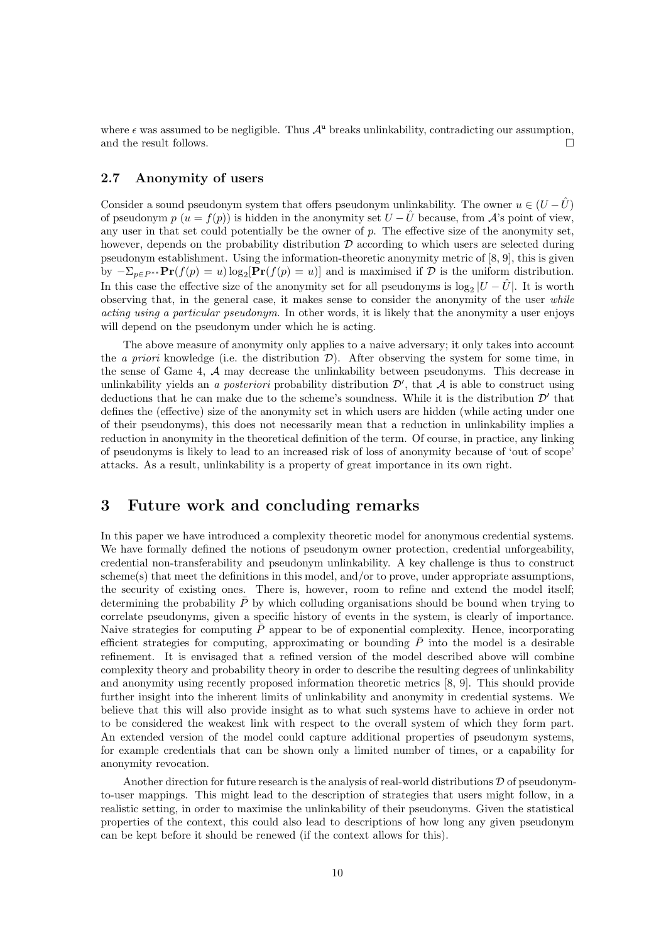where  $\epsilon$  was assumed to be negligible. Thus  $\mathcal{A}^u$  breaks unlinkability, contradicting our assumption, and the result follows.  $\Box$ 

#### 2.7 Anonymity of users

Consider a sound pseudonym system that offers pseudonym unlinkability. The owner  $u \in (U - \hat{U})$ of pseudonym p  $(u = f(p))$  is hidden in the anonymity set  $U - \hat{U}$  because, from A's point of view, any user in that set could potentially be the owner of  $p$ . The effective size of the anonymity set, however, depends on the probability distribution  $\mathcal D$  according to which users are selected during pseudonym establishment. Using the information-theoretic anonymity metric of [8, 9], this is given by  $-\sum_{p\in P^{**}} Pr(f(p) = u) \log_2[Pr(f(p) = u)]$  and is maximised if  $D$  is the uniform distribution. In this case the effective size of the anonymity set for all pseudonyms is  $\log_2|U - \hat{U}|$ . It is worth observing that, in the general case, it makes sense to consider the anonymity of the user while acting using a particular pseudonym. In other words, it is likely that the anonymity a user enjoys will depend on the pseudonym under which he is acting.

The above measure of anonymity only applies to a naive adversary; it only takes into account the *a priori* knowledge (i.e. the distribution  $D$ ). After observing the system for some time, in the sense of Game 4, A may decrease the unlinkability between pseudonyms. This decrease in unlinkability yields an a posteriori probability distribution  $\mathcal{D}'$ , that  $\mathcal{A}$  is able to construct using deductions that he can make due to the scheme's soundness. While it is the distribution  $\mathcal{D}'$  that defines the (effective) size of the anonymity set in which users are hidden (while acting under one of their pseudonyms), this does not necessarily mean that a reduction in unlinkability implies a reduction in anonymity in the theoretical definition of the term. Of course, in practice, any linking of pseudonyms is likely to lead to an increased risk of loss of anonymity because of 'out of scope' attacks. As a result, unlinkability is a property of great importance in its own right.

# 3 Future work and concluding remarks

In this paper we have introduced a complexity theoretic model for anonymous credential systems. We have formally defined the notions of pseudonym owner protection, credential unforgeability, credential non-transferability and pseudonym unlinkability. A key challenge is thus to construct scheme(s) that meet the definitions in this model, and/or to prove, under appropriate assumptions, the security of existing ones. There is, however, room to refine and extend the model itself; determining the probability  $\bar{P}$  by which colluding organisations should be bound when trying to correlate pseudonyms, given a specific history of events in the system, is clearly of importance. Naive strategies for computing  $\overline{P}$  appear to be of exponential complexity. Hence, incorporating efficient strategies for computing, approximating or bounding  $\overline{P}$  into the model is a desirable refinement. It is envisaged that a refined version of the model described above will combine complexity theory and probability theory in order to describe the resulting degrees of unlinkability and anonymity using recently proposed information theoretic metrics [8, 9]. This should provide further insight into the inherent limits of unlinkability and anonymity in credential systems. We believe that this will also provide insight as to what such systems have to achieve in order not to be considered the weakest link with respect to the overall system of which they form part. An extended version of the model could capture additional properties of pseudonym systems, for example credentials that can be shown only a limited number of times, or a capability for anonymity revocation.

Another direction for future research is the analysis of real-world distributions  $D$  of pseudonymto-user mappings. This might lead to the description of strategies that users might follow, in a realistic setting, in order to maximise the unlinkability of their pseudonyms. Given the statistical properties of the context, this could also lead to descriptions of how long any given pseudonym can be kept before it should be renewed (if the context allows for this).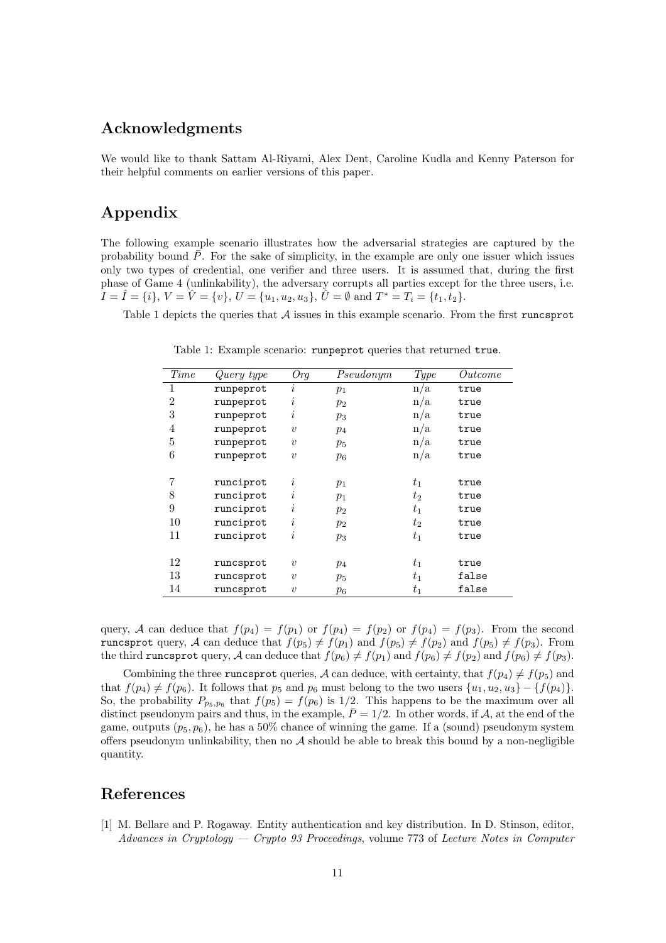# Acknowledgments

We would like to thank Sattam Al-Riyami, Alex Dent, Caroline Kudla and Kenny Paterson for their helpful comments on earlier versions of this paper.

# Appendix

The following example scenario illustrates how the adversarial strategies are captured by the probability bound  $\bar{P}$ . For the sake of simplicity, in the example are only one issuer which issues only two types of credential, one verifier and three users. It is assumed that, during the first phase of Game 4 (unlinkability), the adversary corrupts all parties except for the three users, i.e.  $\hat{I} = \hat{I} = \{i\},\,V = \hat{V} = \{v\},\,U = \{u_1,u_2,u_3\},\,\hat{U} = \emptyset\,\,\text{and}\,\,T^* = T_i = \{t_1,t_2\}.$ 

Table 1 depicts the queries that  $A$  issues in this example scenario. From the first runcsprot

| <i>Time</i>      | Query type | Org              | Pseudonym | Type    | Outcome |
|------------------|------------|------------------|-----------|---------|---------|
| 1                | runpeprot  | $\dot{i}$        | $p_1$     | n/a     | true    |
| $\overline{2}$   | runpeprot  | $\it i$          | $p_2$     | n/a     | true    |
| 3                | runpeprot  | i                | $p_3$     | n/a     | true    |
| $\overline{4}$   | runpeprot  | $\boldsymbol{v}$ | $p_4$     | n/a     | true    |
| $\overline{5}$   | runpeprot  | $\boldsymbol{v}$ | $p_5$     | n/a     | true    |
| 6                | runpeprot  | $\boldsymbol{v}$ | $p_6$     | n/a     | true    |
|                  |            |                  |           |         |         |
| 7                | runciprot  | i                | $p_1$     | $t_{1}$ | true    |
| 8                | runciprot  | $\it i$          | $p_1$     | $t_2$   | true    |
| $\boldsymbol{9}$ | runciprot  | $\it i$          | $p_2$     | $t_1$   | true    |
| 10               | runciprot  | i                | $p_2$     | $t_2$   | true    |
| 11               | runciprot  | i                | $p_3$     | $t_{1}$ | true    |
|                  |            |                  |           |         |         |
| 12               | runcsprot  | $\upsilon$       | $p_4$     | $t_{1}$ | true    |
| 13               | runcsprot  | $\upsilon$       | $p_5$     | $t_{1}$ | false   |
| 14               | runcsprot  | $\boldsymbol{v}$ | $p_6$     | $t_1$   | false   |
|                  |            |                  |           |         |         |

Table 1: Example scenario: runpeprot queries that returned true.

query, A can deduce that  $f(p_4) = f(p_1)$  or  $f(p_4) = f(p_2)$  or  $f(p_4) = f(p_3)$ . From the second runcsprot query, A can deduce that  $f(p_5) \neq f(p_1)$  and  $f(p_5) \neq f(p_2)$  and  $f(p_5) \neq f(p_3)$ . From the third runcsprot query, A can deduce that  $f(p_6) \neq f(p_1)$  and  $f(p_6) \neq f(p_2)$  and  $f(p_6) \neq f(p_3)$ .

Combining the three runcsprot queries, A can deduce, with certainty, that  $f(p_4) \neq f(p_5)$  and that  $f(p_4) \neq f(p_6)$ . It follows that  $p_5$  and  $p_6$  must belong to the two users  $\{u_1, u_2, u_3\} - \{f(p_4)\}.$ So, the probability  $P_{p_5,p_6}$  that  $f(p_5) = f(p_6)$  is 1/2. This happens to be the maximum over all distinct pseudonym pairs and thus, in the example,  $\bar{P} = 1/2$ . In other words, if A, at the end of the game, outputs  $(p_5, p_6)$ , he has a 50% chance of winning the game. If a (sound) pseudonym system offers pseudonym unlinkability, then no  $A$  should be able to break this bound by a non-negligible quantity.

## References

[1] M. Bellare and P. Rogaway. Entity authentication and key distribution. In D. Stinson, editor, Advances in Cryptology — Crypto 93 Proceedings, volume 773 of Lecture Notes in Computer